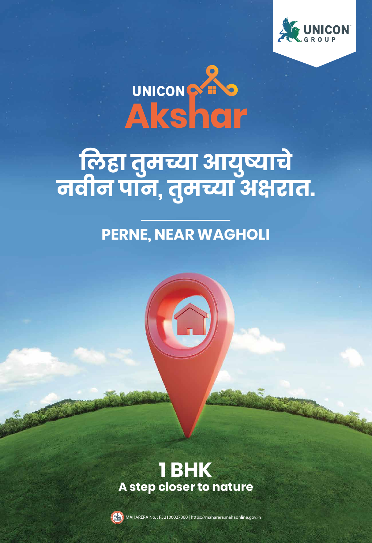

# UNICONS

**िलहा तुमच्या आयुष्याचे नवीन पान, तुमच्या अ�रात.**

#### **1 BHK A step closer to nature**



## **PERNE, NEAR WAGHOLI**

MAHARERA No. : P52100027360 | https://maharera.mahaonline.gov.in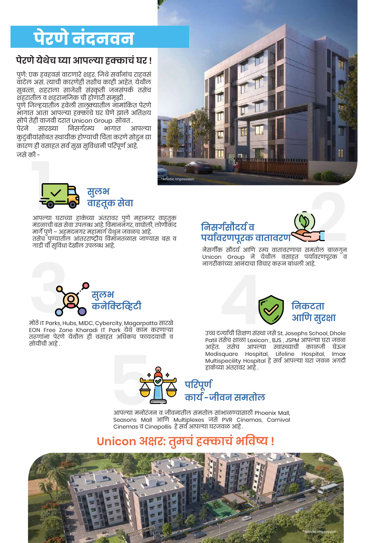# पेरणे नंदनवन

#### **पेरणे येथेच घ्या आपल्या हक्काचं घर !**

पुणे: एक हवहवसं वाटणारे शहर. िजथे सवार्नांच राहवसं वाटेल असं. त्याची कारणेही तशीच काही आहेत. येथील सुबत्ता, शहराला साजेशी संस्कृती जनसंपकर् तसेच शहरातील व शहरानिजक ची होणारी समृ�ी .

पुण जिल्हयातील हवेला तालुक्यातील नामांकित परण भागात आता आपल्या हक्काँचे घर घेणे झाले अतिशय सोपे तेही वाजवी दरात Unicon Group सोबत .<br>पेरने सारख्या निसर्गरम्य भागात ३ पेरने सारख्या िनसगर्रम्य भागात आपल्या कुटुबायासाबत स्थायाक हाण्याचा चिता करणे साडुन द्या कारण ही वसाहत सर्व सुख सुविधानी परिपूर्ण आहे.

जसे की -

नैसगीर्क सौंदयर् आिण रम्य वातावरणाचा समतोल बाळगुन Unicon Group ने येथील वसाहत पयार्वरणपूरक व नागरीकांच्या आनंदाचा िवचार करून बांधली आहे.

मंडळाची बस सेवा उपलब्ध आहे. िवमाननगर, वाघोली, लोणीकंद मागर्े पुणे – अहमदनगर महामागर् येथुन जवळच आहे. तसेच पुण्यातील आंतरराष्ट्रीय िवमानतळास जाण्यास बस व गाडी ची सुिवधा देखील उपलब्ध आहे.

> उच्च दर्ज्याचा शिक्षण संस्था जस St. Josephs School, Dhole Patil तसेच शाळा Lexicon , BJS , JSPM आपल्या घरा जवळ आहेत. तसेच आपल्या स्वास्थ्याची काळजी घेऊन Medisquare Hospital, Lifeline Hospital, Imax Multispecility Hospital हे सवर् आपल्या घरा जवळ अगदी हाकेच्या अंतरावर आहे .

आपल्या मनोरंजन व जीवनातील समतोल सांभाळण्यासाठी Phoenix Mall, Seasons Mall आिण Multiplexes जसे PVR Cinemas, Carnival Cinemas व Cinepollis हे सवर् आपल्या घरजवळ आहे .







मोठे IT Parks, Hubs, MIDC, Cybercity, Magarpatta सारखे EON Free Zone Kharadi IT Park येथे काम करणाऱ्या तरूणांना पेरणे येथील ही वसाहत अिधकच फायदयाची व सोयीची आहे .







### **Unicon अ�र: तुमचं हक्काचं भिवष्य !**

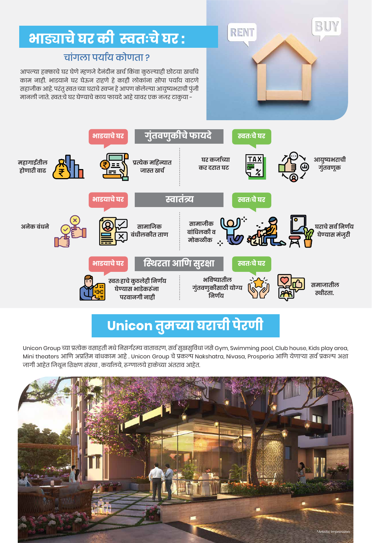

## भाड्याचे घर की स्वतःचे घर:

जागी आहेत िजथून िश�ण संस्था , कयार्लये, रूग्णालये हाकेच्या अंतराव आहेत.

आपल्या हक्काचे घर घेणे म्हणजे दैनदीन खेच किंवा कुठल्याही छोटया खचाच काम नाही. भाडयाने घर घेऊन राहणे हे काही लाेकांना सोपा पयार्य वाटणे सहाजीक आहे. परंतु स्वतःच्या घराचे स्वप्न हे आपण केलेल्या आयुष्यभराची पुंजी मानली जाते. स्वत:चे घर घेण्याचे काय फायदे आहे यावर एक नजर टाकुया -

#### चांगला पयार्य कोणता ?



## Unicon तुमच्या घराची पेरणी

Unicon Group च्या �ात्येक वसाहती मधे िनसगर्रम्य वातावरण, सवर् सुखसुिवधा जसे Gym, Swimming pool, Club house, Kids play area, Mini theaters आणि अप्रतिम बांधकाम आहे . Unicon Group चे प्रकल्प Nakshatra, Nivasa, Prosperia आणि येणाऱ्या सर्व प्रकल्प अशा